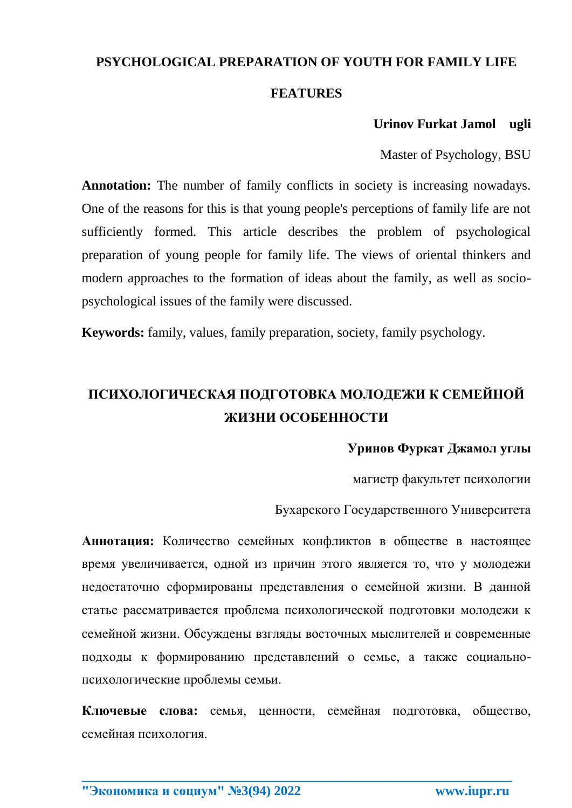# **PSYCHOLOGICAL PREPARATION OF YOUTH FOR FAMILY LIFE**

#### **FEATURES**

#### **Urinov Furkat Jamol ugli**

Master of Psychology, BSU

**Annotation:** The number of family conflicts in society is increasing nowadays. One of the reasons for this is that young people's perceptions of family life are not sufficiently formed. This article describes the problem of psychological preparation of young people for family life. The views of oriental thinkers and modern approaches to the formation of ideas about the family, as well as sociopsychological issues of the family were discussed.

**Keywords:** family, values, family preparation, society, family psychology.

# **ПСИХОЛОГИЧЕСКАЯ ПОДГОТОВКА МОЛОДЕЖИ К СЕМЕЙНОЙ ЖИЗНИ ОСОБЕННОСТИ**

#### **Уринов Фуркат Джамол yглы**

магистр факультет психологии

Бухарского Государственного Университета

**Аннотация:** Количество семейных конфликтов в обществе в настоящее время увеличивается, одной из причин этого является то, что у молодежи недостаточно сформированы представления о семейной жизни. В данной статье рассматривается проблема психологической подготовки молодежи к семейной жизни. Обсуждены взгляды восточных мыслителей и современные подходы к формированию представлений о семье, а также социальнопсихологические проблемы семьи.

**Ключевые слова:** семья, ценности, семейная подготовка, общество, семейная психология.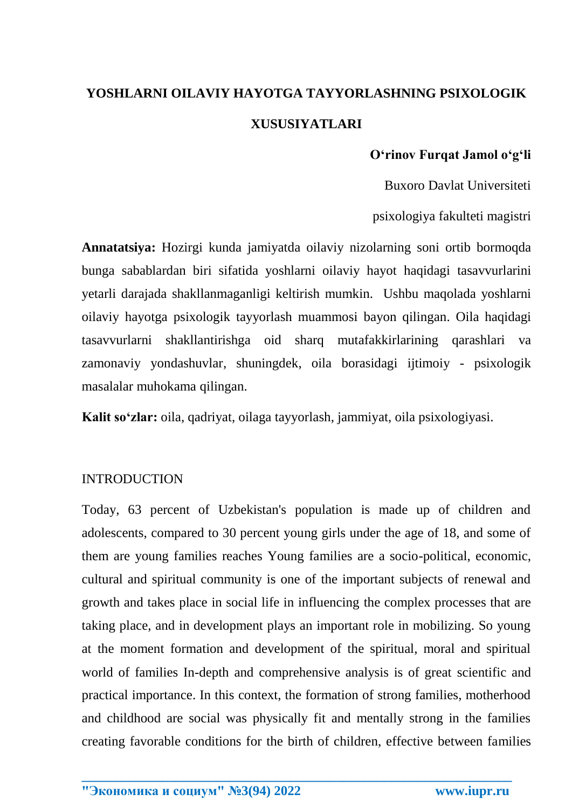# **YOSHLARNI OILAVIY HAYOTGA TAYYORLASHNING PSIXOLOGIK XUSUSIYATLARI**

#### **O'rinov Furqat Jamol o'g'li**

Buxoro Davlat Universiteti

psixologiya fakulteti magistri

**Annatatsiya:** Hozirgi kunda jamiyatda oilaviy nizolarning soni ortib bormoqda bunga sabablardan biri sifatida yoshlarni oilaviy hayot haqidagi tasavvurlarini yetarli darajada shakllanmaganligi keltirish mumkin. Ushbu maqolada yoshlarni oilaviy hayotga psixologik tayyorlash muammosi bayon qilingan. Oila haqidagi tasavvurlarni shakllantirishga oid sharq mutafakkirlarining qarashlari va zamonaviy yondashuvlar, shuningdek, oila borasidagi ijtimoiy - psixologik masalalar muhokama qilingan.

**Kalit so'zlar:** oila, qadriyat, oilaga tayyorlash, jammiyat, oila psixologiyasi.

#### INTRODUCTION

Today, 63 percent of Uzbekistan's population is made up of children and adolescents, compared to 30 percent young girls under the age of 18, and some of them are young families reaches Young families are a socio-political, economic, cultural and spiritual community is one of the important subjects of renewal and growth and takes place in social life in influencing the complex processes that are taking place, and in development plays an important role in mobilizing. So young at the moment formation and development of the spiritual, moral and spiritual world of families In-depth and comprehensive analysis is of great scientific and practical importance. In this context, the formation of strong families, motherhood and childhood are social was physically fit and mentally strong in the families creating favorable conditions for the birth of children, effective between families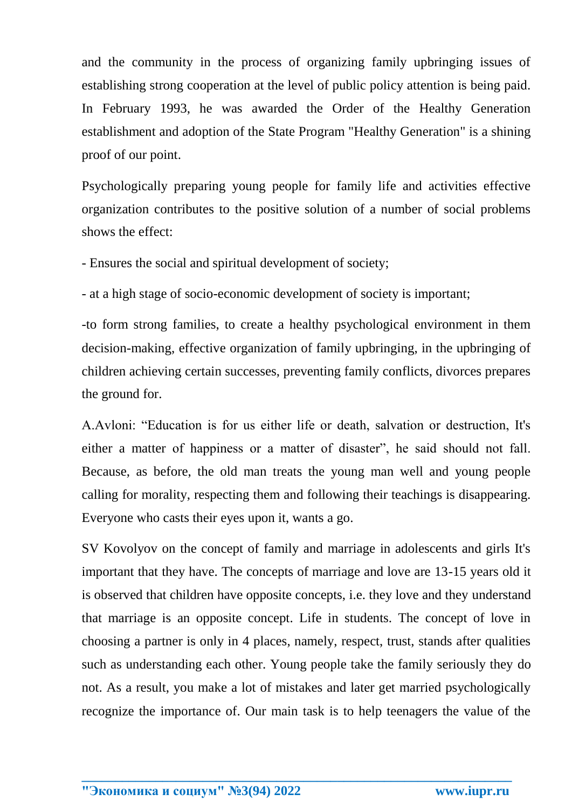and the community in the process of organizing family upbringing issues of establishing strong cooperation at the level of public policy attention is being paid. In February 1993, he was awarded the Order of the Healthy Generation establishment and adoption of the State Program "Healthy Generation" is a shining proof of our point.

Psychologically preparing young people for family life and activities effective organization contributes to the positive solution of a number of social problems shows the effect:

- Ensures the social and spiritual development of society;

- at a high stage of socio-economic development of society is important;

-to form strong families, to create a healthy psychological environment in them decision-making, effective organization of family upbringing, in the upbringing of children achieving certain successes, preventing family conflicts, divorces prepares the ground for.

A.Avloni: "Education is for us either life or death, salvation or destruction, It's either a matter of happiness or a matter of disaster", he said should not fall. Because, as before, the old man treats the young man well and young people calling for morality, respecting them and following their teachings is disappearing. Everyone who casts their eyes upon it, wants a go.

SV Kovolyov on the concept of family and marriage in adolescents and girls It's important that they have. The concepts of marriage and love are 13-15 years old it is observed that children have opposite concepts, i.e. they love and they understand that marriage is an opposite concept. Life in students. The concept of love in choosing a partner is only in 4 places, namely, respect, trust, stands after qualities such as understanding each other. Young people take the family seriously they do not. As a result, you make a lot of mistakes and later get married psychologically recognize the importance of. Our main task is to help teenagers the value of the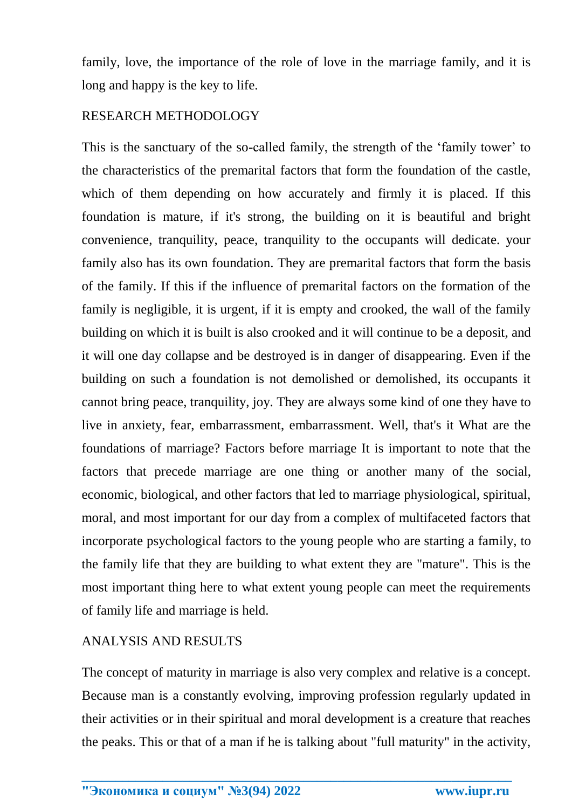family, love, the importance of the role of love in the marriage family, and it is long and happy is the key to life.

# RESEARCH METHODOLOGY

This is the sanctuary of the so-called family, the strength of the 'family tower' to the characteristics of the premarital factors that form the foundation of the castle, which of them depending on how accurately and firmly it is placed. If this foundation is mature, if it's strong, the building on it is beautiful and bright convenience, tranquility, peace, tranquility to the occupants will dedicate. your family also has its own foundation. They are premarital factors that form the basis of the family. If this if the influence of premarital factors on the formation of the family is negligible, it is urgent, if it is empty and crooked, the wall of the family building on which it is built is also crooked and it will continue to be a deposit, and it will one day collapse and be destroyed is in danger of disappearing. Even if the building on such a foundation is not demolished or demolished, its occupants it cannot bring peace, tranquility, joy. They are always some kind of one they have to live in anxiety, fear, embarrassment, embarrassment. Well, that's it What are the foundations of marriage? Factors before marriage It is important to note that the factors that precede marriage are one thing or another many of the social, economic, biological, and other factors that led to marriage physiological, spiritual, moral, and most important for our day from a complex of multifaceted factors that incorporate psychological factors to the young people who are starting a family, to the family life that they are building to what extent they are "mature". This is the most important thing here to what extent young people can meet the requirements of family life and marriage is held.

## ANALYSIS AND RESULTS

The concept of maturity in marriage is also very complex and relative is a concept. Because man is a constantly evolving, improving profession regularly updated in their activities or in their spiritual and moral development is a creature that reaches the peaks. This or that of a man if he is talking about "full maturity" in the activity,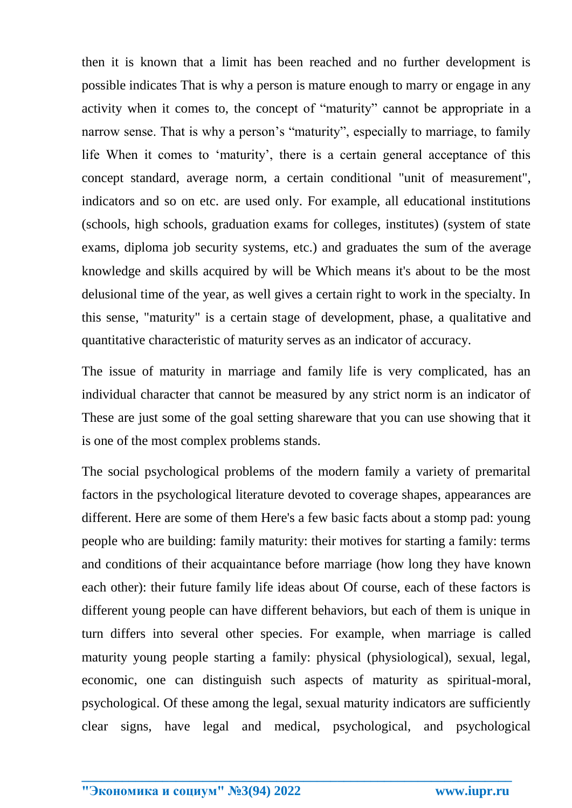then it is known that a limit has been reached and no further development is possible indicates That is why a person is mature enough to marry or engage in any activity when it comes to, the concept of "maturity" cannot be appropriate in a narrow sense. That is why a person's "maturity", especially to marriage, to family life When it comes to 'maturity', there is a certain general acceptance of this concept standard, average norm, a certain conditional "unit of measurement", indicators and so on etc. are used only. For example, all educational institutions (schools, high schools, graduation exams for colleges, institutes) (system of state exams, diploma job security systems, etc.) and graduates the sum of the average knowledge and skills acquired by will be Which means it's about to be the most delusional time of the year, as well gives a certain right to work in the specialty. In this sense, "maturity" is a certain stage of development, phase, a qualitative and quantitative characteristic of maturity serves as an indicator of accuracy.

The issue of maturity in marriage and family life is very complicated, has an individual character that cannot be measured by any strict norm is an indicator of These are just some of the goal setting shareware that you can use showing that it is one of the most complex problems stands.

The social psychological problems of the modern family a variety of premarital factors in the psychological literature devoted to coverage shapes, appearances are different. Here are some of them Here's a few basic facts about a stomp pad: young people who are building: family maturity: their motives for starting a family: terms and conditions of their acquaintance before marriage (how long they have known each other): their future family life ideas about Of course, each of these factors is different young people can have different behaviors, but each of them is unique in turn differs into several other species. For example, when marriage is called maturity young people starting a family: physical (physiological), sexual, legal, economic, one can distinguish such aspects of maturity as spiritual-moral, psychological. Of these among the legal, sexual maturity indicators are sufficiently clear signs, have legal and medical, psychological, and psychological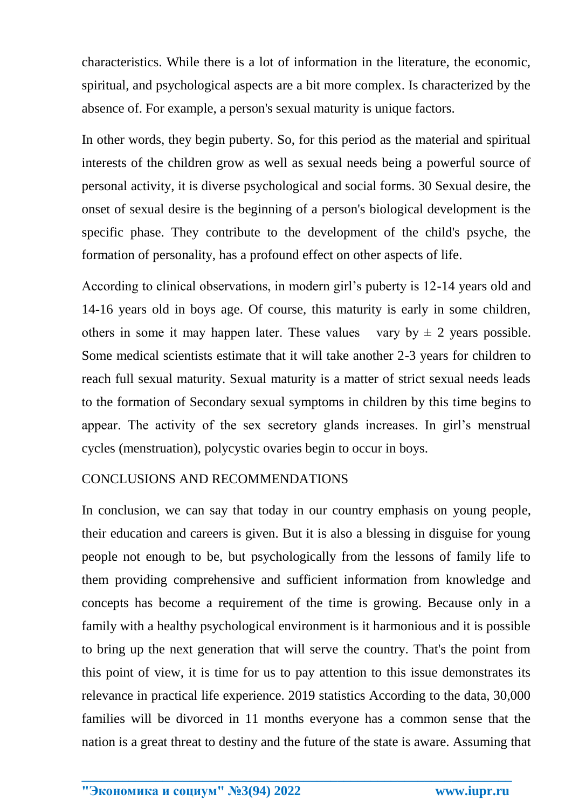characteristics. While there is a lot of information in the literature, the economic, spiritual, and psychological aspects are a bit more complex. Is characterized by the absence of. For example, a person's sexual maturity is unique factors.

In other words, they begin puberty. So, for this period as the material and spiritual interests of the children grow as well as sexual needs being a powerful source of personal activity, it is diverse psychological and social forms. 30 Sexual desire, the onset of sexual desire is the beginning of a person's biological development is the specific phase. They contribute to the development of the child's psyche, the formation of personality, has a profound effect on other aspects of life.

According to clinical observations, in modern girl's puberty is 12-14 years old and 14-16 years old in boys age. Of course, this maturity is early in some children, others in some it may happen later. These values vary by  $\pm$  2 years possible. Some medical scientists estimate that it will take another 2-3 years for children to reach full sexual maturity. Sexual maturity is a matter of strict sexual needs leads to the formation of Secondary sexual symptoms in children by this time begins to appear. The activity of the sex secretory glands increases. In girl's menstrual cycles (menstruation), polycystic ovaries begin to occur in boys.

## CONCLUSIONS AND RECOMMENDATIONS

In conclusion, we can say that today in our country emphasis on young people, their education and careers is given. But it is also a blessing in disguise for young people not enough to be, but psychologically from the lessons of family life to them providing comprehensive and sufficient information from knowledge and concepts has become a requirement of the time is growing. Because only in a family with a healthy psychological environment is it harmonious and it is possible to bring up the next generation that will serve the country. That's the point from this point of view, it is time for us to pay attention to this issue demonstrates its relevance in practical life experience. 2019 statistics According to the data, 30,000 families will be divorced in 11 months everyone has a common sense that the nation is a great threat to destiny and the future of the state is aware. Assuming that